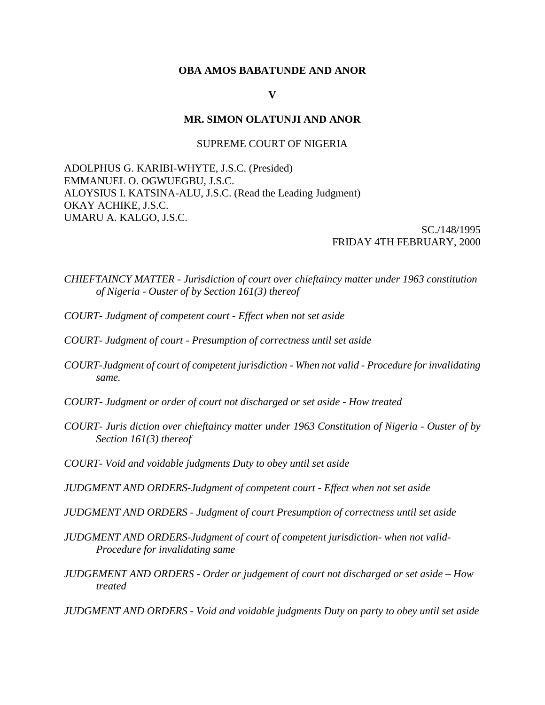### **OBA AMOS BABATUNDE AND ANOR**

### **V**

### **MR. SIMON OLATUNJI AND ANOR**

### SUPREME COURT OF NIGERIA

ADOLPHUS G. KARIBI-WHYTE, J.S.C. (Presided) EMMANUEL O. OGWUEGBU, J.S.C. ALOYSIUS I. KATSINA-ALU, J.S.C. (Read the Leading Judgment) OKAY ACHIKE, J.S.C. UMARU A. KALGO, J.S.C.

> SC./148/1995 FRIDAY 4TH FEBRUARY, 2000

*CHIEFTAINCY MATTER - Jurisdiction of court over chieftaincy matter under 1963 constitution of Nigeria - Ouster of by Section 161(3) thereof*

- *COURT- Judgment of competent court - Effect when not set aside*
- *COURT- Judgment of court - Presumption of correctness until set aside*
- *COURT-Judgment of court of competent jurisdiction - When not valid - Procedure for invalidating same.*
- *COURT- Judgment or order of court not discharged or set aside - How treated*
- *COURT- Juris diction over chieftaincy matter under 1963 Constitution of Nigeria - Ouster of by Section 161(3) thereof*
- *COURT- Void and voidable judgments Duty to obey until set aside*

*JUDGMENT AND ORDERS-Judgment of competent court - Effect when not set aside*

*JUDGMENT AND ORDERS - Judgment of court Presumption of correctness until set aside*

*JUDGMENT AND ORDERS-Judgment of court of competent jurisdiction- when not valid-Procedure for invalidating same*

*JUDGEMENT AND ORDERS - Order or judgement of court not discharged or set aside – How treated*

*JUDGMENT AND ORDERS - Void and voidable judgments Duty on party to obey until set aside*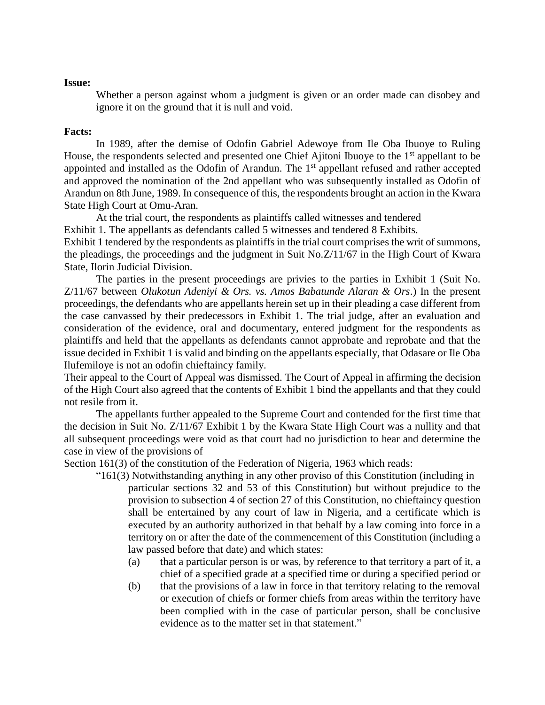### **Issue:**

Whether a person against whom a judgment is given or an order made can disobey and ignore it on the ground that it is null and void.

### **Facts:**

In 1989, after the demise of Odofin Gabriel Adewoye from Ile Oba Ibuoye to Ruling House, the respondents selected and presented one Chief Ajitoni Ibuoye to the 1<sup>st</sup> appellant to be appointed and installed as the Odofin of Arandun. The 1<sup>st</sup> appellant refused and rather accepted and approved the nomination of the 2nd appellant who was subsequently installed as Odofin of Arandun on 8th June, 1989. In consequence of this, the respondents brought an action in the Kwara State High Court at Omu-Aran.

At the trial court, the respondents as plaintiffs called witnesses and tendered

Exhibit 1. The appellants as defendants called 5 witnesses and tendered 8 Exhibits.

Exhibit 1 tendered by the respondents as plaintiffs in the trial court comprises the writ of summons, the pleadings, the proceedings and the judgment in Suit No.Z/11/67 in the High Court of Kwara State, Ilorin Judicial Division.

The parties in the present proceedings are privies to the parties in Exhibit 1 (Suit No. Z/11/67 between *Olukotun Adeniyi & Ors. vs. Amos Babatunde Alaran & Ors*.) In the present proceedings, the defendants who are appellants herein set up in their pleading a case different from the case canvassed by their predecessors in Exhibit 1. The trial judge, after an evaluation and consideration of the evidence, oral and documentary, entered judgment for the respondents as plaintiffs and held that the appellants as defendants cannot approbate and reprobate and that the issue decided in Exhibit 1 is valid and binding on the appellants especially, that Odasare or Ile Oba Ilufemiloye is not an odofin chieftaincy family.

Their appeal to the Court of Appeal was dismissed. The Court of Appeal in affirming the decision of the High Court also agreed that the contents of Exhibit 1 bind the appellants and that they could not resile from it.

The appellants further appealed to the Supreme Court and contended for the first time that the decision in Suit No. Z/11/67 Exhibit 1 by the Kwara State High Court was a nullity and that all subsequent proceedings were void as that court had no jurisdiction to hear and determine the case in view of the provisions of

Section 161(3) of the constitution of the Federation of Nigeria, 1963 which reads:

- "161(3) Notwithstanding anything in any other proviso of this Constitution (including in particular sections 32 and 53 of this Constitution) but without prejudice to the provision to subsection 4 of section 27 of this Constitution, no chieftaincy question shall be entertained by any court of law in Nigeria, and a certificate which is executed by an authority authorized in that behalf by a law coming into force in a territory on or after the date of the commencement of this Constitution (including a law passed before that date) and which states:
	- (a) that a particular person is or was, by reference to that territory a part of it, a chief of a specified grade at a specified time or during a specified period or
	- (b) that the provisions of a law in force in that territory relating to the removal or execution of chiefs or former chiefs from areas within the territory have been complied with in the case of particular person, shall be conclusive evidence as to the matter set in that statement."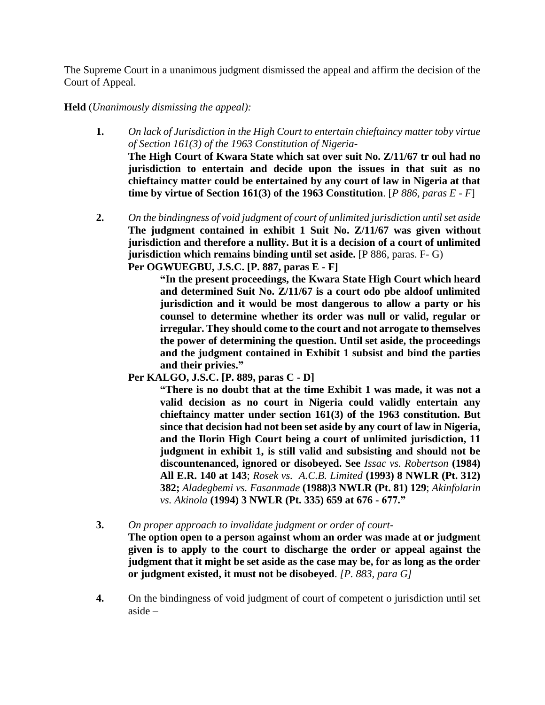The Supreme Court in a unanimous judgment dismissed the appeal and affirm the decision of the Court of Appeal.

# **Held** (*Unanimously dismissing the appeal):*

- **1.** *On lack of Jurisdiction in the High Court to entertain chieftaincy matter toby virtue of Section 161(3) of the 1963 Constitution of Nigeria-***The High Court of Kwara State which sat over suit No. Z/11/67 tr oul had no jurisdiction to entertain and decide upon the issues in that suit as no chieftaincy matter could be entertained by any court of law in Nigeria at that time by virtue of Section 161(3) of the 1963 Constitution**. [*P 886, paras E - F*]
- **2.** *On the bindingness of void judgment of court of unlimited jurisdiction until set aside* **The judgment contained in exhibit 1 Suit No. Z/11/67 was given without jurisdiction and therefore a nullity. But it is a decision of a court of unlimited jurisdiction which remains binding until set aside.** [P 886, paras. F- G) **Per OGWUEGBU, J.S.C. [P. 887, paras E - F]**

**"In the present proceedings, the Kwara State High Court which heard and determined Suit No. Z/11/67 is a court odo pbe aldoof unlimited jurisdiction and it would be most dangerous to allow a party or his counsel to determine whether its order was null or valid, regular or irregular. They should come to the court and not arrogate to themselves the power of determining the question. Until set aside, the proceedings and the judgment contained in Exhibit 1 subsist and bind the parties and their privies."**

**Per KALGO, J.S.C. [P. 889, paras C - D]** 

**"There is no doubt that at the time Exhibit 1 was made, it was not a valid decision as no court in Nigeria could validly entertain any chieftaincy matter under section 161(3) of the 1963 constitution. But since that decision had not been set aside by any court of law in Nigeria, and the Ilorin High Court being a court of unlimited jurisdiction, 11 judgment in exhibit 1, is still valid and subsisting and should not be discountenanced, ignored or disobeyed. See** *Issac vs. Robertson* **(1984) All E.R. 140 at 143**; *Rosek vs. A.C.B. Limited* **(1993) 8 NWLR (Pt. 312) 382;** *Aladegbemi vs. Fasanmade* **(1988)3 NWLR (Pt. 81) 129**; *Akinfolarin vs. Akinola* **(1994) 3 NWLR (Pt. 335) 659 at 676 - 677."**

**3.** *On proper approach to invalidate judgment or order of court-*

**The option open to a person against whom an order was made at or judgment given is to apply to the court to discharge the order or appeal against the judgment that it might be set aside as the case may be, for as long as the order or judgment existed, it must not be disobeyed**. *[P. 883, para G]*

**4.** On the bindingness of void judgment of court of competent o jurisdiction until set aside –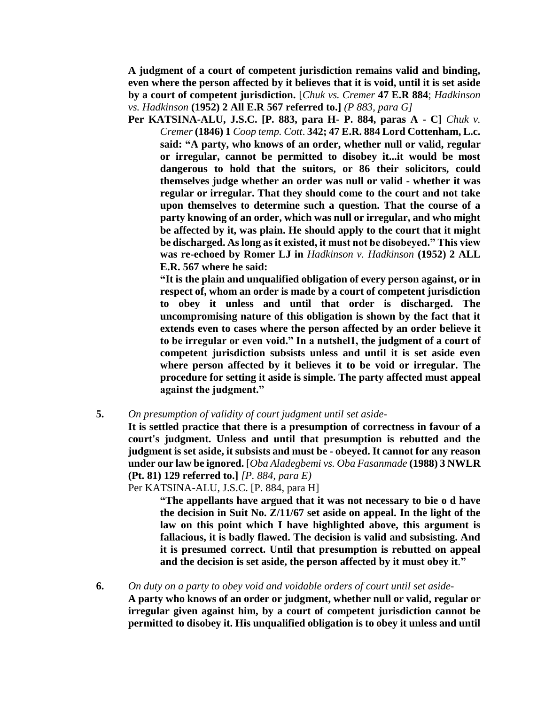**A judgment of a court of competent jurisdiction remains valid and binding, even where the person affected by it believes that it is void, until it is set aside by a court of competent jurisdiction.** [*Chuk vs. Cremer* **47 E.R 884**; *Hadkinson vs. Hadkinson* **(1952) 2 All E.R 567 referred to.]** *(P 883, para G]*

**Per KATSINA-ALU, J.S.C. [P. 883, para H- P. 884, paras A - C]** *Chuk v. Cremer* **(1846) 1** *Coop temp. Cott*. **342; 47 E.R. 884 Lord Cottenham, L.c. said: "A party, who knows of an order, whether null or valid, regular or irregular, cannot be permitted to disobey it...it would be most dangerous to hold that the suitors, or 86 their solicitors, could themselves judge whether an order was null or valid - whether it was regular or irregular. That they should come to the court and not take upon themselves to determine such a question. That the course of a party knowing of an order, which was null or irregular, and who might be affected by it, was plain. He should apply to the court that it might be discharged. As long as it existed, it must not be disobeyed." This view was re-echoed by Romer LJ in** *Hadkinson v. Hadkinson* **(1952) 2 ALL E.R. 567 where he said:** 

**"It is the plain and unqualified obligation of every person against, or in respect of, whom an order is made by a court of competent jurisdiction to obey it unless and until that order is discharged. The uncompromising nature of this obligation is shown by the fact that it extends even to cases where the person affected by an order believe it to be irregular or even void." In a nutshel1, the judgment of a court of competent jurisdiction subsists unless and until it is set aside even where person affected by it believes it to be void or irregular. The procedure for setting it aside is simple. The party affected must appeal against the judgment."**

**5.** *On presumption of validity of court judgment until set aside-*

**It is settled practice that there is a presumption of correctness in favour of a court's judgment. Unless and until that presumption is rebutted and the judgment is set aside, it subsists and must be - obeyed. It cannot for any reason under our law be ignored.** [*Oba Aladegbemi vs. Oba Fasanmade* **(1988) 3 NWLR (Pt. 81) 129 referred to.]** *[P. 884, para E)*

Per KATSINA-ALU, J.S.C. [P. 884, para H]

**"The appellants have argued that it was not necessary to bie o d have the decision in Suit No. Z/11/67 set aside on appeal. In the light of the law on this point which I have highlighted above, this argument is fallacious, it is badly flawed. The decision is valid and subsisting. And it is presumed correct. Until that presumption is rebutted on appeal and the decision is set aside, the person affected by it must obey it**.**"**

**6.** *On duty on a party to obey void and voidable orders of court until set aside-***A party who knows of an order or judgment, whether null or valid, regular or irregular given against him, by a court of competent jurisdiction cannot be permitted to disobey it. His unqualified obligation is to obey it unless and until**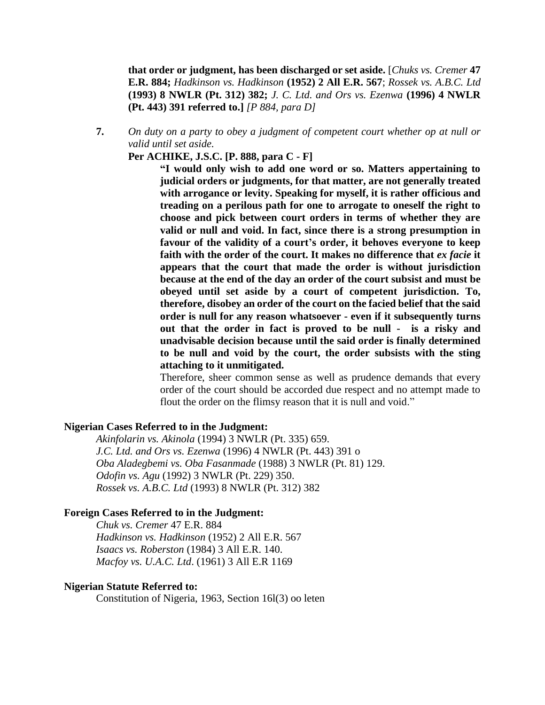**that order or judgment, has been discharged or set aside.** [*Chuks vs. Cremer* **47 E.R. 884;** *Hadkinson vs. Hadkinson* **(1952) 2 All E.R. 567**; *Rossek vs. A.B.C. Ltd* **(1993) 8 NWLR (Pt. 312) 382;** *J. C. Ltd. and Ors vs. Ezenwa* **(1996) 4 NWLR (Pt. 443) 391 referred to.]** *[P 884, para D]*

**7.** *On duty on a party to obey a judgment of competent court whether op at null or valid until set aside.*

**Per ACHIKE, J.S.C. [P. 888, para C - F]**

**"I would only wish to add one word or so. Matters appertaining to judicial orders or judgments, for that matter, are not generally treated with arrogance or levity. Speaking for myself, it is rather officious and treading on a perilous path for one to arrogate to oneself the right to choose and pick between court orders in terms of whether they are valid or null and void. In fact, since there is a strong presumption in favour of the validity of a court's order, it behoves everyone to keep faith with the order of the court. It makes no difference that** *ex facie* **it appears that the court that made the order is without jurisdiction because at the end of the day an order of the court subsist and must be obeyed until set aside by a court of competent jurisdiction. To, therefore, disobey an order of the court on the facied belief that the said order is null for any reason whatsoever - even if it subsequently turns out that the order in fact is proved to be null - is a risky and unadvisable decision because until the said order is finally determined to be null and void by the court, the order subsists with the sting attaching to it unmitigated.** 

Therefore, sheer common sense as well as prudence demands that every order of the court should be accorded due respect and no attempt made to flout the order on the flimsy reason that it is null and void."

## **Nigerian Cases Referred to in the Judgment:**

*Akinfolarin vs. Akinola* (1994) 3 NWLR (Pt. 335) 659. *J.C. Ltd. and Ors vs. Ezenwa* (1996) 4 NWLR (Pt. 443) 391 o *Oba Aladegbemi vs. Oba Fasanmade* (1988) 3 NWLR (Pt. 81) 129. *Odofin vs. Agu* (1992) 3 NWLR (Pt. 229) 350. *Rossek vs. A.B.C. Ltd* (1993) 8 NWLR (Pt. 312) 382

#### **Foreign Cases Referred to in the Judgment:**

*Chuk vs. Cremer* 47 E.R. 884 *Hadkinson vs. Hadkinson* (1952) 2 All E.R. 567 *Isaacs vs. Roberston* (1984) 3 All E.R. 140. *Macfoy vs. U.A.C. Ltd*. (1961) 3 All E.R 1169

### **Nigerian Statute Referred to:**

Constitution of Nigeria, 1963, Section 16l(3) oo leten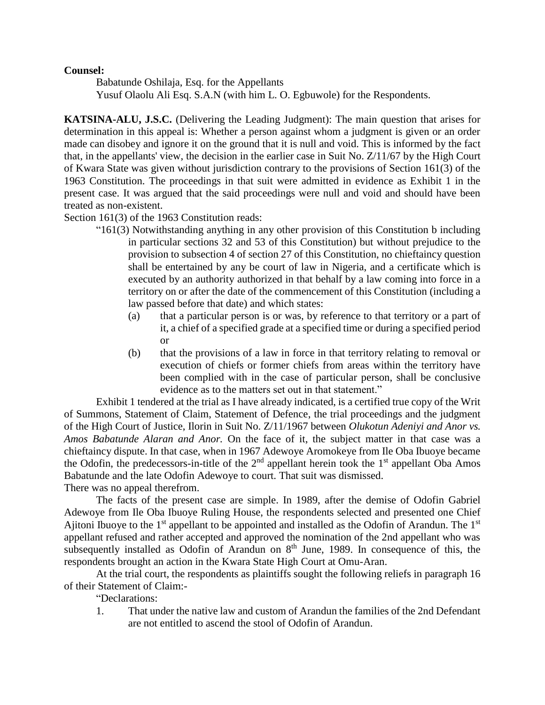## **Counsel:**

Babatunde Oshilaja, Esq. for the Appellants Yusuf Olaolu Ali Esq. S.A.N (with him L. O. Egbuwole) for the Respondents.

**KATSINA-ALU, J.S.C.** (Delivering the Leading Judgment): The main question that arises for determination in this appeal is: Whether a person against whom a judgment is given or an order made can disobey and ignore it on the ground that it is null and void. This is informed by the fact that, in the appellants' view, the decision in the earlier case in Suit No. Z/11/67 by the High Court of Kwara State was given without jurisdiction contrary to the provisions of Section 161(3) of the 1963 Constitution. The proceedings in that suit were admitted in evidence as Exhibit 1 in the present case. It was argued that the said proceedings were null and void and should have been treated as non-existent.

Section 161(3) of the 1963 Constitution reads:

- "161(3) Notwithstanding anything in any other provision of this Constitution b including in particular sections 32 and 53 of this Constitution) but without prejudice to the provision to subsection 4 of section 27 of this Constitution, no chieftaincy question shall be entertained by any be court of law in Nigeria, and a certificate which is executed by an authority authorized in that behalf by a law coming into force in a territory on or after the date of the commencement of this Constitution (including a law passed before that date) and which states:
	- (a) that a particular person is or was, by reference to that territory or a part of it, a chief of a specified grade at a specified time or during a specified period or
	- (b) that the provisions of a law in force in that territory relating to removal or execution of chiefs or former chiefs from areas within the territory have been complied with in the case of particular person, shall be conclusive evidence as to the matters set out in that statement."

Exhibit 1 tendered at the trial as I have already indicated, is a certified true copy of the Writ of Summons, Statement of Claim, Statement of Defence, the trial proceedings and the judgment of the High Court of Justice, Ilorin in Suit No. Z/11/1967 between *Olukotun Adeniyi and Anor vs. Amos Babatunde Alaran and Anor.* On the face of it, the subject matter in that case was a chieftaincy dispute. In that case, when in 1967 Adewoye Aromokeye from Ile Oba Ibuoye became the Odofin, the predecessors-in-title of the  $2<sup>nd</sup>$  appellant herein took the  $1<sup>st</sup>$  appellant Oba Amos Babatunde and the late Odofin Adewoye to court. That suit was dismissed. There was no appeal therefrom.

The facts of the present case are simple. In 1989, after the demise of Odofin Gabriel Adewoye from Ile Oba Ibuoye Ruling House, the respondents selected and presented one Chief Ajitoni Ibuoye to the  $1<sup>st</sup>$  appellant to be appointed and installed as the Odofin of Arandun. The  $1<sup>st</sup>$ appellant refused and rather accepted and approved the nomination of the 2nd appellant who was subsequently installed as Odofin of Arandun on  $8<sup>th</sup>$  June, 1989. In consequence of this, the respondents brought an action in the Kwara State High Court at Omu-Aran.

At the trial court, the respondents as plaintiffs sought the following reliefs in paragraph 16 of their Statement of Claim:-

"Declarations:

1. That under the native law and custom of Arandun the families of the 2nd Defendant are not entitled to ascend the stool of Odofin of Arandun.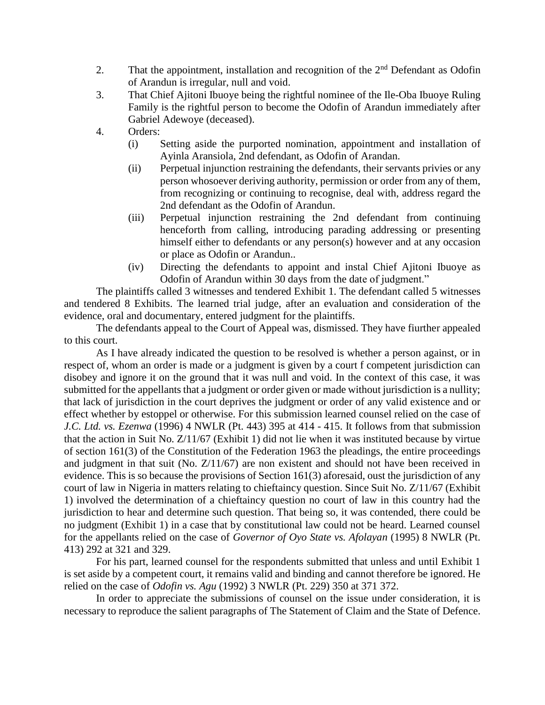- 2. That the appointment, installation and recognition of the  $2<sup>nd</sup>$  Defendant as Odofin of Arandun is irregular, null and void.
- 3. That Chief Ajitoni Ibuoye being the rightful nominee of the Ile-Oba Ibuoye Ruling Family is the rightful person to become the Odofin of Arandun immediately after Gabriel Adewoye (deceased).
- 4. Orders:
	- (i) Setting aside the purported nomination, appointment and installation of Ayinla Aransiola, 2nd defendant, as Odofin of Arandan.
	- (ii) Perpetual injunction restraining the defendants, their servants privies or any person whosoever deriving authority, permission or order from any of them, from recognizing or continuing to recognise, deal with, address regard the 2nd defendant as the Odofin of Arandun.
	- (iii) Perpetual injunction restraining the 2nd defendant from continuing henceforth from calling, introducing parading addressing or presenting himself either to defendants or any person(s) however and at any occasion or place as Odofin or Arandun..
	- (iv) Directing the defendants to appoint and instal Chief Ajitoni Ibuoye as Odofin of Arandun within 30 days from the date of judgment."

The plaintiffs called 3 witnesses and tendered Exhibit 1. The defendant called 5 witnesses and tendered 8 Exhibits. The learned trial judge, after an evaluation and consideration of the evidence, oral and documentary, entered judgment for the plaintiffs.

The defendants appeal to the Court of Appeal was, dismissed. They have fiurther appealed to this court.

As I have already indicated the question to be resolved is whether a person against, or in respect of, whom an order is made or a judgment is given by a court f competent jurisdiction can disobey and ignore it on the ground that it was null and void. In the context of this case, it was submitted for the appellants that a judgment or order given or made without jurisdiction is a nullity; that lack of jurisdiction in the court deprives the judgment or order of any valid existence and or effect whether by estoppel or otherwise. For this submission learned counsel relied on the case of *J.C. Ltd. vs. Ezenwa* (1996) 4 NWLR (Pt. 443) 395 at 414 - 415. It follows from that submission that the action in Suit No. Z/11/67 (Exhibit 1) did not lie when it was instituted because by virtue of section 161(3) of the Constitution of the Federation 1963 the pleadings, the entire proceedings and judgment in that suit (No. Z/11/67) are non existent and should not have been received in evidence. This is so because the provisions of Section 161(3) aforesaid, oust the jurisdiction of any court of law in Nigeria in matters relating to chieftaincy question. Since Suit No. Z/11/67 (Exhibit 1) involved the determination of a chieftaincy question no court of law in this country had the jurisdiction to hear and determine such question. That being so, it was contended, there could be no judgment (Exhibit 1) in a case that by constitutional law could not be heard. Learned counsel for the appellants relied on the case of *Governor of Oyo State vs. Afolayan* (1995) 8 NWLR (Pt. 413) 292 at 321 and 329.

For his part, learned counsel for the respondents submitted that unless and until Exhibit 1 is set aside by a competent court, it remains valid and binding and cannot therefore be ignored. He relied on the case of *Odofin vs. Agu* (1992) 3 NWLR (Pt. 229) 350 at 371 372.

In order to appreciate the submissions of counsel on the issue under consideration, it is necessary to reproduce the salient paragraphs of The Statement of Claim and the State of Defence.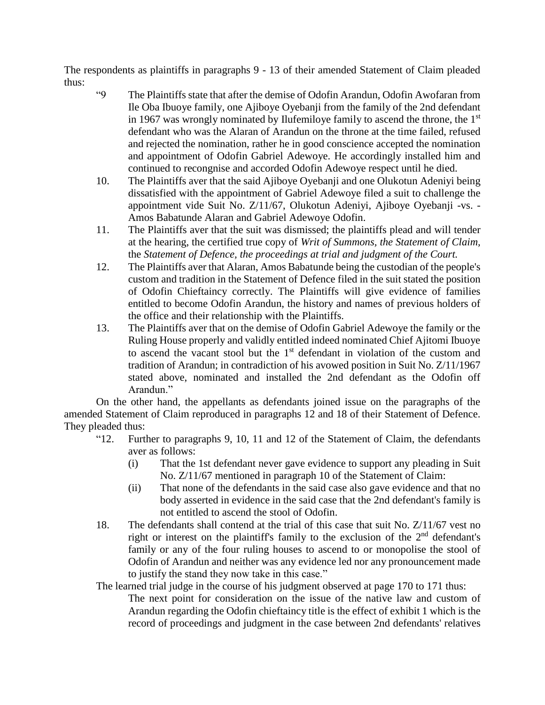The respondents as plaintiffs in paragraphs 9 - 13 of their amended Statement of Claim pleaded thus:

- "9 The Plaintiffs state that after the demise of Odofin Arandun, Odofin Awofaran from Ile Oba Ibuoye family, one Ajiboye Oyebanji from the family of the 2nd defendant in 1967 was wrongly nominated by Ilufemiloye family to ascend the throne, the  $1<sup>st</sup>$ defendant who was the Alaran of Arandun on the throne at the time failed, refused and rejected the nomination, rather he in good conscience accepted the nomination and appointment of Odofin Gabriel Adewoye. He accordingly installed him and continued to recongnise and accorded Odofin Adewoye respect until he died.
- 10. The Plaintiffs aver that the said Ajiboye Oyebanji and one Olukotun Adeniyi being dissatisfied with the appointment of Gabriel Adewoye filed a suit to challenge the appointment vide Suit No. Z/11/67, Olukotun Adeniyi, Ajiboye Oyebanji -vs. - Amos Babatunde Alaran and Gabriel Adewoye Odofin.
- 11. The Plaintiffs aver that the suit was dismissed; the plaintiffs plead and will tender at the hearing, the certified true copy of *Writ of Summons, the Statement of Claim,* the *Statement of Defence, the proceedings at trial and judgment of the Court.*
- 12. The Plaintiffs aver that Alaran, Amos Babatunde being the custodian of the people's custom and tradition in the Statement of Defence filed in the suit stated the position of Odofin Chieftaincy correctly. The Plaintiffs will give evidence of families entitled to become Odofin Arandun, the history and names of previous holders of the office and their relationship with the Plaintiffs.
- 13. The Plaintiffs aver that on the demise of Odofin Gabriel Adewoye the family or the Ruling House properly and validly entitled indeed nominated Chief Ajitomi Ibuoye to ascend the vacant stool but the 1<sup>st</sup> defendant in violation of the custom and tradition of Arandun; in contradiction of his avowed position in Suit No. Z/11/1967 stated above, nominated and installed the 2nd defendant as the Odofin off Arandun."

On the other hand, the appellants as defendants joined issue on the paragraphs of the amended Statement of Claim reproduced in paragraphs 12 and 18 of their Statement of Defence. They pleaded thus:

- "12. Further to paragraphs 9, 10, 11 and 12 of the Statement of Claim, the defendants aver as follows:
	- (i) That the 1st defendant never gave evidence to support any pleading in Suit No. Z/11/67 mentioned in paragraph 10 of the Statement of Claim:
	- (ii) That none of the defendants in the said case also gave evidence and that no body asserted in evidence in the said case that the 2nd defendant's family is not entitled to ascend the stool of Odofin.
- 18. The defendants shall contend at the trial of this case that suit No. Z/11/67 vest no right or interest on the plaintiff's family to the exclusion of the 2<sup>nd</sup> defendant's family or any of the four ruling houses to ascend to or monopolise the stool of Odofin of Arandun and neither was any evidence led nor any pronouncement made to justify the stand they now take in this case."

The learned trial judge in the course of his judgment observed at page 170 to 171 thus:

The next point for consideration on the issue of the native law and custom of Arandun regarding the Odofin chieftaincy title is the effect of exhibit 1 which is the record of proceedings and judgment in the case between 2nd defendants' relatives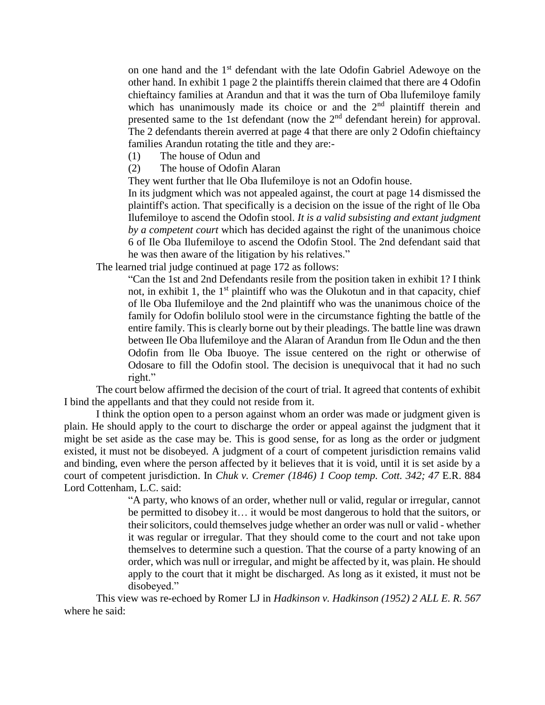on one hand and the 1st defendant with the late Odofin Gabriel Adewoye on the other hand. In exhibit 1 page 2 the plaintiffs therein claimed that there are 4 Odofin chieftaincy families at Arandun and that it was the turn of Oba llufemiloye family which has unanimously made its choice or and the  $2<sup>nd</sup>$  plaintiff therein and presented same to the 1st defendant (now the  $2<sup>nd</sup>$  defendant herein) for approval. The 2 defendants therein averred at page 4 that there are only 2 Odofin chieftaincy families Arandun rotating the title and they are:-

- (1) The house of Odun and
- (2) The house of Odofin Alaran

They went further that lle Oba Ilufemiloye is not an Odofin house.

In its judgment which was not appealed against, the court at page 14 dismissed the plaintiff's action. That specifically is a decision on the issue of the right of lle Oba Ilufemiloye to ascend the Odofin stool. *It is a valid subsisting and extant judgment by a competent court* which has decided against the right of the unanimous choice 6 of Ile Oba Ilufemiloye to ascend the Odofin Stool. The 2nd defendant said that he was then aware of the litigation by his relatives."

The learned trial judge continued at page 172 as follows:

"Can the 1st and 2nd Defendants resile from the position taken in exhibit 1? I think not, in exhibit 1, the  $1<sup>st</sup>$  plaintiff who was the Olukotun and in that capacity, chief of lle Oba Ilufemiloye and the 2nd plaintiff who was the unanimous choice of the family for Odofin bolilulo stool were in the circumstance fighting the battle of the entire family. This is clearly borne out by their pleadings. The battle line was drawn between Ile Oba llufemiloye and the Alaran of Arandun from Ile Odun and the then Odofin from lle Oba Ibuoye. The issue centered on the right or otherwise of Odosare to fill the Odofin stool. The decision is unequivocal that it had no such right."

The court below affirmed the decision of the court of trial. It agreed that contents of exhibit I bind the appellants and that they could not reside from it.

I think the option open to a person against whom an order was made or judgment given is plain. He should apply to the court to discharge the order or appeal against the judgment that it might be set aside as the case may be. This is good sense, for as long as the order or judgment existed, it must not be disobeyed. A judgment of a court of competent jurisdiction remains valid and binding, even where the person affected by it believes that it is void, until it is set aside by a court of competent jurisdiction. In *Chuk v. Cremer (1846) 1 Coop temp. Cott. 342; 47* E.R. 884 Lord Cottenham, L.C. said:

> "A party, who knows of an order, whether null or valid, regular or irregular, cannot be permitted to disobey it… it would be most dangerous to hold that the suitors, or their solicitors, could themselves judge whether an order was null or valid - whether it was regular or irregular. That they should come to the court and not take upon themselves to determine such a question. That the course of a party knowing of an order, which was null or irregular, and might be affected by it, was plain. He should apply to the court that it might be discharged. As long as it existed, it must not be disobeyed."

This view was re-echoed by Romer LJ in *Hadkinson v. Hadkinson (1952) 2 ALL E. R. 567* where he said: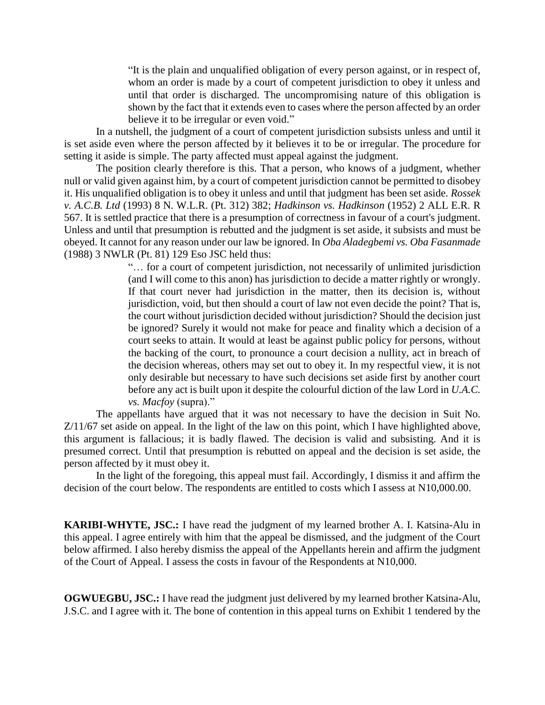"It is the plain and unqualified obligation of every person against, or in respect of, whom an order is made by a court of competent jurisdiction to obey it unless and until that order is discharged. The uncompromising nature of this obligation is shown by the fact that it extends even to cases where the person affected by an order believe it to be irregular or even void."

In a nutshell, the judgment of a court of competent jurisdiction subsists unless and until it is set aside even where the person affected by it believes it to be or irregular. The procedure for setting it aside is simple. The party affected must appeal against the judgment.

The position clearly therefore is this. That a person, who knows of a judgment, whether null or valid given against him, by a court of competent jurisdiction cannot be permitted to disobey it. His unqualified obligation is to obey it unless and until that judgment has been set aside. *Rossek v. A.C.B. Ltd* (1993) 8 N. W.L.R. (Pt. 312) 382; *Hadkinson vs. Hadkinson* (1952) 2 ALL E.R. R 567. It is settled practice that there is a presumption of correctness in favour of a court's judgment. Unless and until that presumption is rebutted and the judgment is set aside, it subsists and must be obeyed. It cannot for any reason under our law be ignored. In *Oba Aladegbemi vs. Oba Fasanmade* (1988) 3 NWLR (Pt. 81) 129 Eso JSC held thus:

> "… for a court of competent jurisdiction, not necessarily of unlimited jurisdiction (and I will come to this anon) has jurisdiction to decide a matter rightly or wrongly. If that court never had jurisdiction in the matter, then its decision is, without jurisdiction, void, but then should a court of law not even decide the point? That is, the court without jurisdiction decided without jurisdiction? Should the decision just be ignored? Surely it would not make for peace and finality which a decision of a court seeks to attain. It would at least be against public policy for persons, without the backing of the court, to pronounce a court decision a nullity, act in breach of the decision whereas, others may set out to obey it. In my respectful view, it is not only desirable but necessary to have such decisions set aside first by another court before any act is built upon it despite the colourful diction of the law Lord in *U.A.C. vs. Macfoy* (supra)."

The appellants have argued that it was not necessary to have the decision in Suit No. Z/11/67 set aside on appeal. In the light of the law on this point, which I have highlighted above, this argument is fallacious; it is badly flawed. The decision is valid and subsisting. And it is presumed correct. Until that presumption is rebutted on appeal and the decision is set aside, the person affected by it must obey it.

In the light of the foregoing, this appeal must fail. Accordingly, I dismiss it and affirm the decision of the court below. The respondents are entitled to costs which I assess at N10,000.00.

**KARIBI-WHYTE, JSC.:** I have read the judgment of my learned brother A. I. Katsina-Alu in this appeal. I agree entirely with him that the appeal be dismissed, and the judgment of the Court below affirmed. I also hereby dismiss the appeal of the Appellants herein and affirm the judgment of the Court of Appeal. I assess the costs in favour of the Respondents at N10,000.

**OGWUEGBU, JSC.:** I have read the judgment just delivered by my learned brother Katsina-Alu, J.S.C. and I agree with it. The bone of contention in this appeal turns on Exhibit 1 tendered by the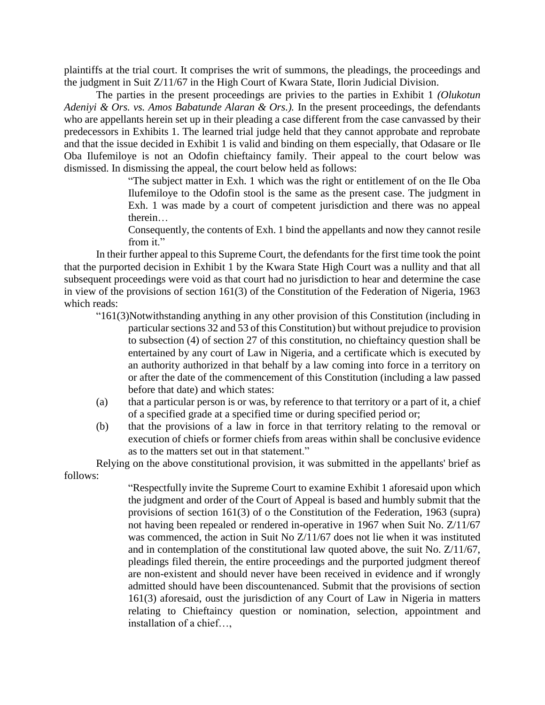plaintiffs at the trial court. It comprises the writ of summons, the pleadings, the proceedings and the judgment in Suit Z/11/67 in the High Court of Kwara State, Ilorin Judicial Division.

The parties in the present proceedings are privies to the parties in Exhibit 1 *(Olukotun Adeniyi & Ors. vs. Amos Babatunde Alaran & Ors.).* In the present proceedings, the defendants who are appellants herein set up in their pleading a case different from the case canvassed by their predecessors in Exhibits 1. The learned trial judge held that they cannot approbate and reprobate and that the issue decided in Exhibit 1 is valid and binding on them especially, that Odasare or Ile Oba Ilufemiloye is not an Odofin chieftaincy family. Their appeal to the court below was dismissed. In dismissing the appeal, the court below held as follows:

> "The subject matter in Exh. 1 which was the right or entitlement of on the Ile Oba Ilufemiloye to the Odofin stool is the same as the present case. The judgment in Exh. 1 was made by a court of competent jurisdiction and there was no appeal therein…

> Consequently, the contents of Exh. 1 bind the appellants and now they cannot resile from it."

In their further appeal to this Supreme Court, the defendants for the first time took the point that the purported decision in Exhibit 1 by the Kwara State High Court was a nullity and that all subsequent proceedings were void as that court had no jurisdiction to hear and determine the case in view of the provisions of section 161(3) of the Constitution of the Federation of Nigeria, 1963 which reads:

- "161(3)Notwithstanding anything in any other provision of this Constitution (including in particular sections 32 and 53 of this Constitution) but without prejudice to provision to subsection (4) of section 27 of this constitution, no chieftaincy question shall be entertained by any court of Law in Nigeria, and a certificate which is executed by an authority authorized in that behalf by a law coming into force in a territory on or after the date of the commencement of this Constitution (including a law passed before that date) and which states:
- (a) that a particular person is or was, by reference to that territory or a part of it, a chief of a specified grade at a specified time or during specified period or;
- (b) that the provisions of a law in force in that territory relating to the removal or execution of chiefs or former chiefs from areas within shall be conclusive evidence as to the matters set out in that statement."

Relying on the above constitutional provision, it was submitted in the appellants' brief as follows:

> "Respectfully invite the Supreme Court to examine Exhibit 1 aforesaid upon which the judgment and order of the Court of Appeal is based and humbly submit that the provisions of section 161(3) of o the Constitution of the Federation, 1963 (supra) not having been repealed or rendered in-operative in 1967 when Suit No. Z/11/67 was commenced, the action in Suit No Z/11/67 does not lie when it was instituted and in contemplation of the constitutional law quoted above, the suit No. Z/11/67, pleadings filed therein, the entire proceedings and the purported judgment thereof are non-existent and should never have been received in evidence and if wrongly admitted should have been discountenanced. Submit that the provisions of section 161(3) aforesaid, oust the jurisdiction of any Court of Law in Nigeria in matters relating to Chieftaincy question or nomination, selection, appointment and installation of a chief…,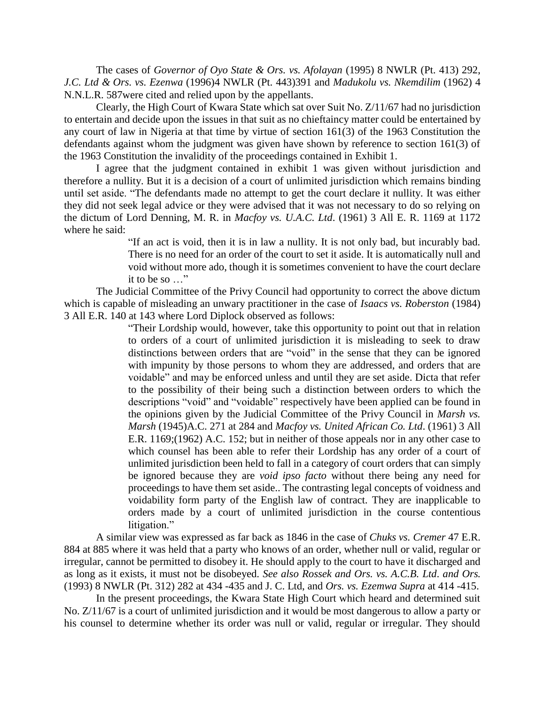The cases of *Governor of Oyo State & Ors. vs. Afolayan* (1995) 8 NWLR (Pt. 413) 292, *J.C. Ltd & Ors. vs. Ezenwa* (1996)4 NWLR (Pt. 443)391 and *Madukolu vs. Nkemdilim* (1962) 4 N.N.L.R. 587were cited and relied upon by the appellants.

Clearly, the High Court of Kwara State which sat over Suit No. Z/11/67 had no jurisdiction to entertain and decide upon the issues in that suit as no chieftaincy matter could be entertained by any court of law in Nigeria at that time by virtue of section 161(3) of the 1963 Constitution the defendants against whom the judgment was given have shown by reference to section 161(3) of the 1963 Constitution the invalidity of the proceedings contained in Exhibit 1.

I agree that the judgment contained in exhibit 1 was given without jurisdiction and therefore a nullity. But it is a decision of a court of unlimited jurisdiction which remains binding until set aside. "The defendants made no attempt to get the court declare it nullity. It was either they did not seek legal advice or they were advised that it was not necessary to do so relying on the dictum of Lord Denning, M. R. in *Macfoy vs. U.A.C. Ltd*. (1961) 3 All E. R. 1169 at 1172 where he said:

> "If an act is void, then it is in law a nullity. It is not only bad, but incurably bad. There is no need for an order of the court to set it aside. It is automatically null and void without more ado, though it is sometimes convenient to have the court declare it to be so …"

The Judicial Committee of the Privy Council had opportunity to correct the above dictum which is capable of misleading an unwary practitioner in the case of *Isaacs vs. Roberston* (1984) 3 All E.R. 140 at 143 where Lord Diplock observed as follows:

> "Their Lordship would, however, take this opportunity to point out that in relation to orders of a court of unlimited jurisdiction it is misleading to seek to draw distinctions between orders that are "void" in the sense that they can be ignored with impunity by those persons to whom they are addressed, and orders that are voidable" and may be enforced unless and until they are set aside. Dicta that refer to the possibility of their being such a distinction between orders to which the descriptions "void" and "voidable" respectively have been applied can be found in the opinions given by the Judicial Committee of the Privy Council in *Marsh vs. Marsh* (1945)A.C. 271 at 284 and *Macfoy vs. United African Co. Ltd*. (1961) 3 All E.R. 1169;(1962) A.C. 152; but in neither of those appeals nor in any other case to which counsel has been able to refer their Lordship has any order of a court of unlimited jurisdiction been held to fall in a category of court orders that can simply be ignored because they are *void ipso facto* without there being any need for proceedings to have them set aside.. The contrasting legal concepts of voidness and voidability form party of the English law of contract. They are inapplicable to orders made by a court of unlimited jurisdiction in the course contentious litigation."

A similar view was expressed as far back as 1846 in the case of *Chuks vs. Cremer* 47 E.R. 884 at 885 where it was held that a party who knows of an order, whether null or valid, regular or irregular, cannot be permitted to disobey it. He should apply to the court to have it discharged and as long as it exists, it must not be disobeyed. *See also Rossek and Ors. vs. A.C.B. Ltd*. *and Ors.* (1993) 8 NWLR (Pt. 312) 282 at 434 -435 and J. C. Ltd, and *Ors. vs. Ezemwa Supra* at 414 -415.

In the present proceedings, the Kwara State High Court which heard and determined suit No. Z/11/67 is a court of unlimited jurisdiction and it would be most dangerous to allow a party or his counsel to determine whether its order was null or valid, regular or irregular. They should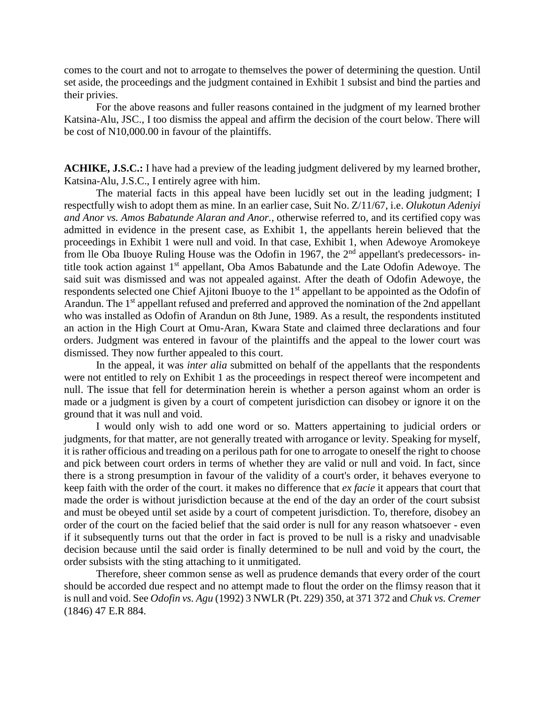comes to the court and not to arrogate to themselves the power of determining the question. Until set aside, the proceedings and the judgment contained in Exhibit 1 subsist and bind the parties and their privies.

For the above reasons and fuller reasons contained in the judgment of my learned brother Katsina-Alu, JSC., I too dismiss the appeal and affirm the decision of the court below. There will be cost of N10,000.00 in favour of the plaintiffs.

**ACHIKE, J.S.C.:** I have had a preview of the leading judgment delivered by my learned brother, Katsina-Alu, J.S.C., I entirely agree with him.

The material facts in this appeal have been lucidly set out in the leading judgment; I respectfully wish to adopt them as mine. In an earlier case, Suit No. Z/11/67, i.e. *Olukotun Adeniyi and Anor vs. Amos Babatunde Alaran and Anor.,* otherwise referred to, and its certified copy was admitted in evidence in the present case, as Exhibit 1, the appellants herein believed that the proceedings in Exhibit 1 were null and void. In that case, Exhibit 1, when Adewoye Aromokeye from lle Oba Ibuoye Ruling House was the Odofin in 1967, the  $2<sup>nd</sup>$  appellant's predecessors- intitle took action against 1<sup>st</sup> appellant, Oba Amos Babatunde and the Late Odofin Adewoye. The said suit was dismissed and was not appealed against. After the death of Odofin Adewoye, the respondents selected one Chief Ajitoni Ibuoye to the 1<sup>st</sup> appellant to be appointed as the Odofin of Arandun. The 1<sup>st</sup> appellant refused and preferred and approved the nomination of the 2nd appellant who was installed as Odofin of Arandun on 8th June, 1989. As a result, the respondents instituted an action in the High Court at Omu-Aran, Kwara State and claimed three declarations and four orders. Judgment was entered in favour of the plaintiffs and the appeal to the lower court was dismissed. They now further appealed to this court.

In the appeal, it was *inter alia* submitted on behalf of the appellants that the respondents were not entitled to rely on Exhibit 1 as the proceedings in respect thereof were incompetent and null. The issue that fell for determination herein is whether a person against whom an order is made or a judgment is given by a court of competent jurisdiction can disobey or ignore it on the ground that it was null and void.

I would only wish to add one word or so. Matters appertaining to judicial orders or judgments, for that matter, are not generally treated with arrogance or levity. Speaking for myself, it is rather officious and treading on a perilous path for one to arrogate to oneself the right to choose and pick between court orders in terms of whether they are valid or null and void. In fact, since there is a strong presumption in favour of the validity of a court's order, it behaves everyone to keep faith with the order of the court. it makes no difference that *ex facie* it appears that court that made the order is without jurisdiction because at the end of the day an order of the court subsist and must be obeyed until set aside by a court of competent jurisdiction. To, therefore, disobey an order of the court on the facied belief that the said order is null for any reason whatsoever - even if it subsequently turns out that the order in fact is proved to be null is a risky and unadvisable decision because until the said order is finally determined to be null and void by the court, the order subsists with the sting attaching to it unmitigated.

Therefore, sheer common sense as well as prudence demands that every order of the court should be accorded due respect and no attempt made to flout the order on the flimsy reason that it is null and void. See *Odofin vs. Agu* (1992) 3 NWLR (Pt. 229) 350, at 371 372 and *Chuk vs. Cremer* (1846) 47 E.R 884.